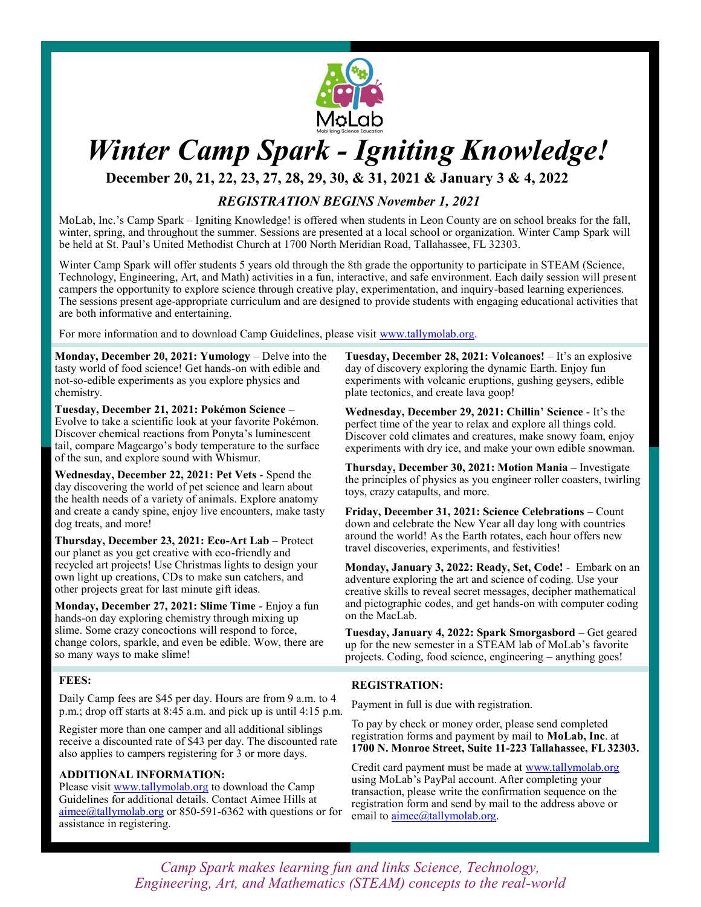

# *Winter Camp Spark - Igniting Knowledge!*

**December 20, 21, 22, 23, 27, 28, 29, 30, & 31, 2021 & January 3 & 4, 2022**

## *REGISTRATION BEGINS November 1, 2021*

MoLab, Inc.'s Camp Spark – Igniting Knowledge! is offered when students in Leon County are on school breaks for the fall, winter, spring, and throughout the summer. Sessions are presented at a local school or organization. Winter Camp Spark will be held at St. Paul's United Methodist Church at 1700 North Meridian Road, Tallahassee, FL 32303.

Winter Camp Spark will offer students 5 years old through the 8th grade the opportunity to participate in STEAM (Science, Technology, Engineering, Art, and Math) activities in a fun, interactive, and safe environment. Each daily session will present campers the opportunity to explore science through creative play, experimentation, and inquiry-based learning experiences. The sessions present age-appropriate curriculum and are designed to provide students with engaging educational activities that are both informative and entertaining.

For more information and to download Camp Guidelines, please visit www.tallymolab.org.

**Monday, December 20, 2021: Yumology** – Delve into the tasty world of food science! Get hands-on with edible and not-so-edible experiments as you explore physics and chemistry.

**Tuesday, December 21, 2021: Pokémon Science** – Evolve to take a scientific look at your favorite Pokémon. Discover chemical reactions from Ponyta's luminescent tail, compare Magcargo's body temperature to the surface of the sun, and explore sound with Whismur.

**Wednesday, December 22, 2021: Pet Vets** - Spend the day discovering the world of pet science and learn about the health needs of a variety of animals. Explore anatomy and create a candy spine, enjoy live encounters, make tasty dog treats, and more!

**Thursday, December 23, 2021: Eco-Art Lab** – Protect our planet as you get creative with eco-friendly and recycled art projects! Use Christmas lights to design your own light up creations, CDs to make sun catchers, and other projects great for last minute gift ideas.

**Monday, December 27, 2021: Slime Time** - Enjoy a fun hands-on day exploring chemistry through mixing up slime. Some crazy concoctions will respond to force, change colors, sparkle, and even be edible. Wow, there are so many ways to make slime!

#### **FEES:**

Daily Camp fees are \$45 per day. Hours are from 9 a.m. to 4 p.m.; drop off starts at 8:45 a.m. and pick up is until 4:15 p.m.

Register more than one camper and all additional siblings receive a discounted rate of \$43 per day. The discounted rate also applies to campers registering for 3 or more days.

#### **ADDITIONAL INFORMATION:**

Please visit www.tallymolab.org to download the Camp Guidelines for additional details. Contact Aimee Hills at aimee@tallymolab.org or 850-591-6362 with questions or for assistance in registering.

**Tuesday, December 28, 2021: Volcanoes!** – It's an explosive day of discovery exploring the dynamic Earth. Enjoy fun experiments with volcanic eruptions, gushing geysers, edible plate tectonics, and create lava goop!

**Wednesday, December 29, 2021: Chillin' Science** - It's the perfect time of the year to relax and explore all things cold. Discover cold climates and creatures, make snowy foam, enjoy experiments with dry ice, and make your own edible snowman.

**Thursday, December 30, 2021: Motion Mania** – Investigate the principles of physics as you engineer roller coasters, twirling toys, crazy catapults, and more.

**Friday, December 31, 2021: Science Celebrations** – Count down and celebrate the New Year all day long with countries around the world! As the Earth rotates, each hour offers new travel discoveries, experiments, and festivities!

**Monday, January 3, 2022: Ready, Set, Code!** - Embark on an adventure exploring the art and science of coding. Use your creative skills to reveal secret messages, decipher mathematical and pictographic codes, and get hands-on with computer coding on the MacLab.

**Tuesday, January 4, 2022: Spark Smorgasbord** – Get geared up for the new semester in a STEAM lab of MoLab's favorite projects. Coding, food science, engineering – anything goes!

#### **REGISTRATION:**

Payment in full is due with registration.

To pay by check or money order, please send completed registration forms and payment by mail to **MoLab, Inc**. at **1700 N. Monroe Street, Suite 11-223 Tallahassee, FL 32303.** 

Credit card payment must be made at www.tallymolab.org using MoLab's PayPal account. After completing your transaction, please write the confirmation sequence on the registration form and send by mail to the address above or email to **aimee**@tallymolab.org.

*Camp Spark makes learning fun and links Science, Technology, Engineering, Art, and Mathematics (STEAM) concepts to the real-world*